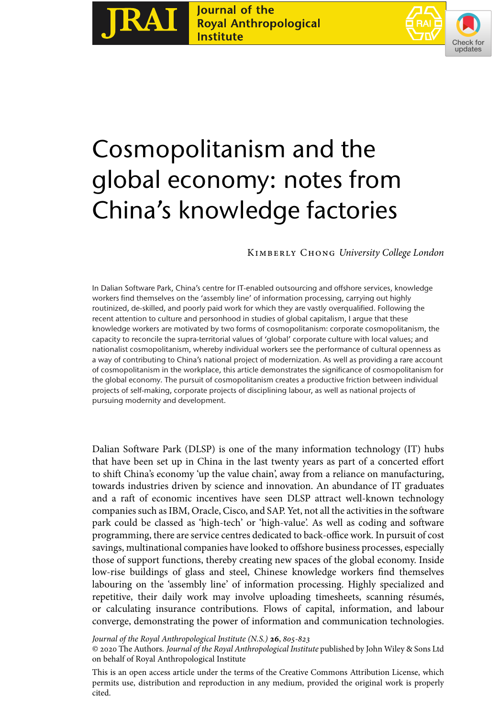



# Cosmopolitanism and the global economy: notes from China's knowledge factories

# Kimberly Chong *University College London*

In Dalian Software Park, China's centre for IT-enabled outsourcing and offshore services, knowledge workers find themselves on the 'assembly line' of information processing, carrying out highly routinized, de-skilled, and poorly paid work for which they are vastly overqualified. Following the recent attention to culture and personhood in studies of global capitalism, I argue that these knowledge workers are motivated by two forms of cosmopolitanism: corporate cosmopolitanism, the capacity to reconcile the supra-territorial values of 'global' corporate culture with local values; and nationalist cosmopolitanism, whereby individual workers see the performance of cultural openness as a way of contributing to China's national project of modernization. As well as providing a rare account of cosmopolitanism in the workplace, this article demonstrates the significance of cosmopolitanism for the global economy. The pursuit of cosmopolitanism creates a productive friction between individual projects of self-making, corporate projects of disciplining labour, as well as national projects of pursuing modernity and development.

Dalian Software Park (DLSP) is one of the many information technology (IT) hubs that have been set up in China in the last twenty years as part of a concerted effort to shift China's economy 'up the value chain', away from a reliance on manufacturing, towards industries driven by science and innovation. An abundance of IT graduates and a raft of economic incentives have seen DLSP attract well-known technology companies such as IBM, Oracle, Cisco, and SAP. Yet, not all the activities in the software park could be classed as 'high-tech' or 'high-value'. As well as coding and software programming, there are service centres dedicated to back-office work. In pursuit of cost savings, multinational companies have looked to offshore business processes, especially those of support functions, thereby creating new spaces of the global economy. Inside low-rise buildings of glass and steel, Chinese knowledge workers find themselves labouring on the 'assembly line' of information processing. Highly specialized and repetitive, their daily work may involve uploading timesheets, scanning résumés, or calculating insurance contributions. Flows of capital, information, and labour converge, demonstrating the power of information and communication technologies.

*Journal of the Royal Anthropological Institute (N.S.)* **26**,  $805-823$ 

© 2020 The Authors. *Journal of the Royal Anthropological Institute* published by John Wiley & Sons Ltd on behalf of Royal Anthropological Institute

This is an open access article under the terms of the [Creative Commons Attribution](http://creativecommons.org/licenses/by/4.0/) License, which permits use, distribution and reproduction in any medium, provided the original work is properly cited.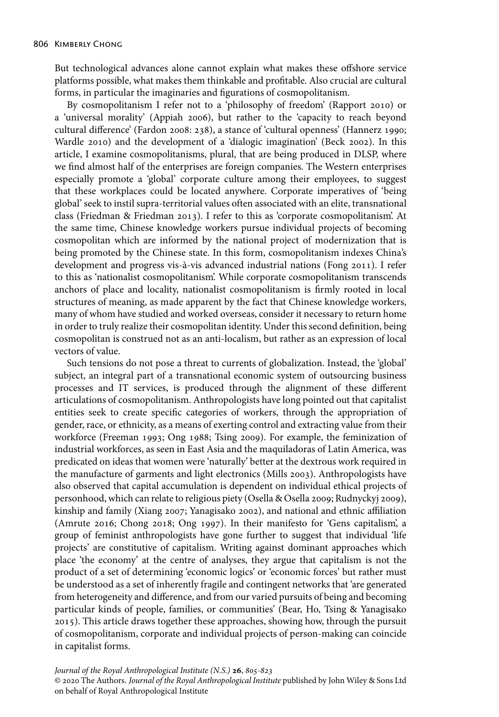But technological advances alone cannot explain what makes these offshore service platforms possible, what makes them thinkable and profitable. Also crucial are cultural forms, in particular the imaginaries and figurations of cosmopolitanism.

By cosmopolitanism I refer not to a 'philosophy of freedom' (Rapport 2010) or a 'universal morality' (Appiah 2006), but rather to the 'capacity to reach beyond cultural difference' (Fardon 2008: 238), a stance of 'cultural openness' (Hannerz 1990; Wardle 2010) and the development of a 'dialogic imagination' (Beck 2002). In this article, I examine cosmopolitanisms, plural, that are being produced in DLSP, where we find almost half of the enterprises are foreign companies. The Western enterprises especially promote a 'global' corporate culture among their employees, to suggest that these workplaces could be located anywhere. Corporate imperatives of 'being global' seek to instil supra-territorial values often associated with an elite, transnational class (Friedman & Friedman 2013). I refer to this as 'corporate cosmopolitanism'. At the same time, Chinese knowledge workers pursue individual projects of becoming cosmopolitan which are informed by the national project of modernization that is being promoted by the Chinese state. In this form, cosmopolitanism indexes China's development and progress vis-à-vis advanced industrial nations (Fong 2011). I refer to this as 'nationalist cosmopolitanism'. While corporate cosmopolitanism transcends anchors of place and locality, nationalist cosmopolitanism is firmly rooted in local structures of meaning, as made apparent by the fact that Chinese knowledge workers, many of whom have studied and worked overseas, consider it necessary to return home in order to truly realize their cosmopolitan identity. Under this second definition, being cosmopolitan is construed not as an anti-localism, but rather as an expression of local vectors of value.

Such tensions do not pose a threat to currents of globalization. Instead, the 'global' subject, an integral part of a transnational economic system of outsourcing business processes and IT services, is produced through the alignment of these different articulations of cosmopolitanism. Anthropologists have long pointed out that capitalist entities seek to create specific categories of workers, through the appropriation of gender, race, or ethnicity, as a means of exerting control and extracting value from their workforce (Freeman 1993; Ong 1988; Tsing 2009). For example, the feminization of industrial workforces, as seen in East Asia and the maquiladoras of Latin America, was predicated on ideas that women were 'naturally' better at the dextrous work required in the manufacture of garments and light electronics (Mills 2003). Anthropologists have also observed that capital accumulation is dependent on individual ethical projects of personhood, which can relate to religious piety (Osella & Osella 2009; Rudnyckyj 2009), kinship and family (Xiang 2007; Yanagisako 2002), and national and ethnic affiliation (Amrute 2016; Chong 2018; Ong 1997). In their manifesto for 'Gens capitalism', a group of feminist anthropologists have gone further to suggest that individual 'life projects' are constitutive of capitalism. Writing against dominant approaches which place 'the economy' at the centre of analyses, they argue that capitalism is not the product of a set of determining 'economic logics' or 'economic forces' but rather must be understood as a set of inherently fragile and contingent networks that 'are generated from heterogeneity and difference, and from our varied pursuits of being and becoming particular kinds of people, families, or communities' (Bear, Ho, Tsing & Yanagisako 2015). This article draws together these approaches, showing how, through the pursuit of cosmopolitanism, corporate and individual projects of person-making can coincide in capitalist forms.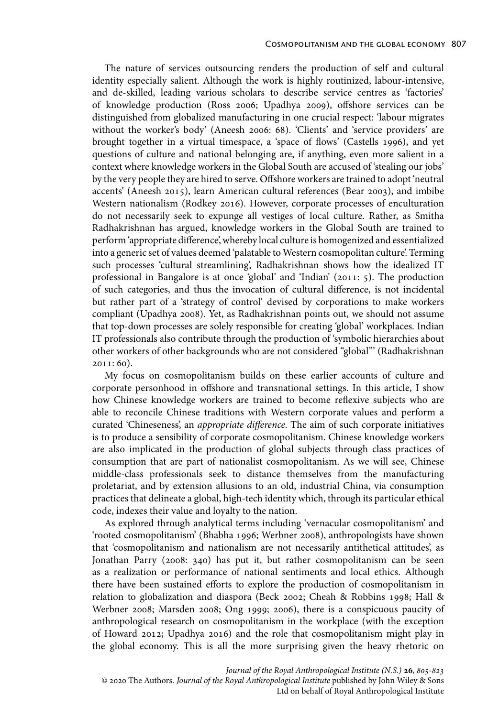The nature of services outsourcing renders the production of self and cultural identity especially salient. Although the work is highly routinized, labour-intensive, and de-skilled, leading various scholars to describe service centres as 'factories' of knowledge production (Ross 2006; Upadhya 2009), offshore services can be distinguished from globalized manufacturing in one crucial respect: 'labour migrates without the worker's body' (Aneesh 2006: 68). 'Clients' and 'service providers' are brought together in a virtual timespace, a 'space of flows' (Castells 1996), and yet questions of culture and national belonging are, if anything, even more salient in a context where knowledge workers in the Global South are accused of 'stealing our jobs' by the very people they are hired to serve. Offshore workers are trained to adopt 'neutral accents' (Aneesh 2015), learn American cultural references (Bear 2003), and imbibe Western nationalism (Rodkey 2016). However, corporate processes of enculturation do not necessarily seek to expunge all vestiges of local culture. Rather, as Smitha Radhakrishnan has argued, knowledge workers in the Global South are trained to perform 'appropriate difference', whereby local culture is homogenized and essentialized into a generic set of values deemed 'palatable to Western cosmopolitan culture'. Terming such processes 'cultural streamlining', Radhakrishnan shows how the idealized IT professional in Bangalore is at once 'global' and 'Indian' (2011: 5). The production of such categories, and thus the invocation of cultural difference, is not incidental but rather part of a 'strategy of control' devised by corporations to make workers compliant (Upadhya 2008). Yet, as Radhakrishnan points out, we should not assume that top-down processes are solely responsible for creating 'global' workplaces. Indian IT professionals also contribute through the production of 'symbolic hierarchies about other workers of other backgrounds who are not considered "global"' (Radhakrishnan 2011: 60).

My focus on cosmopolitanism builds on these earlier accounts of culture and corporate personhood in offshore and transnational settings. In this article, I show how Chinese knowledge workers are trained to become reflexive subjects who are able to reconcile Chinese traditions with Western corporate values and perform a curated 'Chineseness', an *appropriate difference*. The aim of such corporate initiatives is to produce a sensibility of corporate cosmopolitanism. Chinese knowledge workers are also implicated in the production of global subjects through class practices of consumption that are part of nationalist cosmopolitanism. As we will see, Chinese middle-class professionals seek to distance themselves from the manufacturing proletariat, and by extension allusions to an old, industrial China, via consumption practices that delineate a global, high-tech identity which, through its particular ethical code, indexes their value and loyalty to the nation.

As explored through analytical terms including 'vernacular cosmopolitanism' and 'rooted cosmopolitanism' (Bhabha 1996; Werbner 2008), anthropologists have shown that 'cosmopolitanism and nationalism are not necessarily antithetical attitudes', as Jonathan Parry (2008: 340) has put it, but rather cosmopolitanism can be seen as a realization or performance of national sentiments and local ethics. Although there have been sustained efforts to explore the production of cosmopolitanism in relation to globalization and diaspora (Beck 2002; Cheah & Robbins 1998; Hall & Werbner 2008; Marsden 2008; Ong 1999; 2006), there is a conspicuous paucity of anthropological research on cosmopolitanism in the workplace (with the exception of Howard 2012; Upadhya 2016) and the role that cosmopolitanism might play in the global economy. This is all the more surprising given the heavy rhetoric on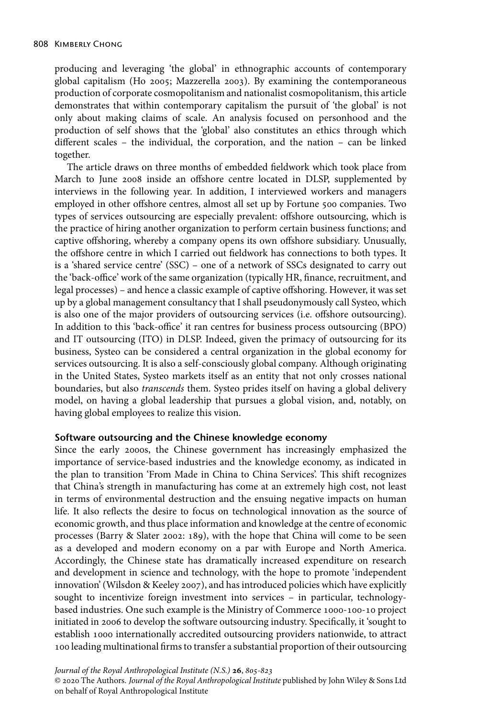producing and leveraging 'the global' in ethnographic accounts of contemporary global capitalism (Ho 2005; Mazzerella 2003). By examining the contemporaneous production of corporate cosmopolitanism and nationalist cosmopolitanism, this article demonstrates that within contemporary capitalism the pursuit of 'the global' is not only about making claims of scale. An analysis focused on personhood and the production of self shows that the 'global' also constitutes an ethics through which different scales – the individual, the corporation, and the nation – can be linked together.

The article draws on three months of embedded fieldwork which took place from March to June 2008 inside an offshore centre located in DLSP, supplemented by interviews in the following year. In addition, I interviewed workers and managers employed in other offshore centres, almost all set up by Fortune 500 companies. Two types of services outsourcing are especially prevalent: offshore outsourcing, which is the practice of hiring another organization to perform certain business functions; and captive offshoring, whereby a company opens its own offshore subsidiary. Unusually, the offshore centre in which I carried out fieldwork has connections to both types. It is a 'shared service centre' (SSC) – one of a network of SSCs designated to carry out the 'back-office' work of the same organization (typically HR, finance, recruitment, and legal processes) – and hence a classic example of captive offshoring. However, it was set up by a global management consultancy that I shall pseudonymously call Systeo, which is also one of the major providers of outsourcing services (i.e. offshore outsourcing). In addition to this 'back-office' it ran centres for business process outsourcing (BPO) and IT outsourcing (ITO) in DLSP. Indeed, given the primacy of outsourcing for its business, Systeo can be considered a central organization in the global economy for services outsourcing. It is also a self-consciously global company. Although originating in the United States, Systeo markets itself as an entity that not only crosses national boundaries, but also *transcends* them. Systeo prides itself on having a global delivery model, on having a global leadership that pursues a global vision, and, notably, on having global employees to realize this vision.

# **Software outsourcing and the Chinese knowledge economy**

Since the early 2000s, the Chinese government has increasingly emphasized the importance of service-based industries and the knowledge economy, as indicated in the plan to transition 'From Made in China to China Services'. This shift recognizes that China's strength in manufacturing has come at an extremely high cost, not least in terms of environmental destruction and the ensuing negative impacts on human life. It also reflects the desire to focus on technological innovation as the source of economic growth, and thus place information and knowledge at the centre of economic processes (Barry & Slater 2002: 189), with the hope that China will come to be seen as a developed and modern economy on a par with Europe and North America. Accordingly, the Chinese state has dramatically increased expenditure on research and development in science and technology, with the hope to promote 'independent innovation' (Wilsdon & Keeley 2007), and has introduced policies which have explicitly sought to incentivize foreign investment into services – in particular, technologybased industries. One such example is the Ministry of Commerce 1000-100-10 project initiated in 2006 to develop the software outsourcing industry. Specifically, it 'sought to establish 1000 internationally accredited outsourcing providers nationwide, to attract 100 leading multinational firms to transfer a substantial proportion of their outsourcing

*Journal of the Royal Anthropological Institute (N.S.)* **26**,  $805-823$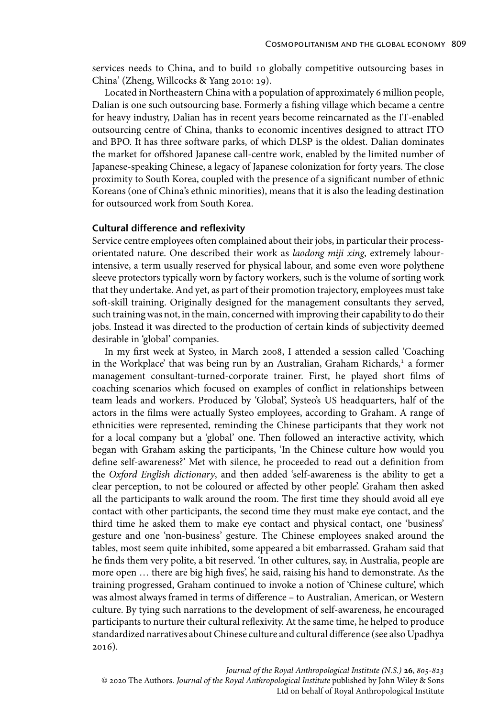services needs to China, and to build 10 globally competitive outsourcing bases in China' (Zheng, Willcocks & Yang 2010: 19).

Located in Northeastern China with a population of approximately 6 million people, Dalian is one such outsourcing base. Formerly a fishing village which became a centre for heavy industry, Dalian has in recent years become reincarnated as the IT-enabled outsourcing centre of China, thanks to economic incentives designed to attract ITO and BPO. It has three software parks, of which DLSP is the oldest. Dalian dominates the market for offshored Japanese call-centre work, enabled by the limited number of Japanese-speaking Chinese, a legacy of Japanese colonization for forty years. The close proximity to South Korea, coupled with the presence of a significant number of ethnic Koreans (one of China's ethnic minorities), means that it is also the leading destination for outsourced work from South Korea.

# **Cultural difference and reflexivity**

Service centre employees often complained about their jobs, in particular their processorientated nature. One described their work as *laodong miji xing*, extremely labourintensive, a term usually reserved for physical labour, and some even wore polythene sleeve protectors typically worn by factory workers, such is the volume of sorting work that they undertake. And yet, as part of their promotion trajectory, employees must take soft-skill training. Originally designed for the management consultants they served, such training was not, in the main, concerned with improving their capability to do their jobs. Instead it was directed to the production of certain kinds of subjectivity deemed desirable in 'global' companies.

In my first week at Systeo, in March 2008, I attended a session called 'Coaching in the Workplace' that was being run by an Australian, Graham Richards,<sup>1</sup> a former management consultant-turned-corporate trainer. First, he played short films of coaching scenarios which focused on examples of conflict in relationships between team leads and workers. Produced by 'Global', Systeo's US headquarters, half of the actors in the films were actually Systeo employees, according to Graham. A range of ethnicities were represented, reminding the Chinese participants that they work not for a local company but a 'global' one. Then followed an interactive activity, which began with Graham asking the participants, 'In the Chinese culture how would you define self-awareness?' Met with silence, he proceeded to read out a definition from the *Oxford English dictionary*, and then added 'self-awareness is the ability to get a clear perception, to not be coloured or affected by other people'. Graham then asked all the participants to walk around the room. The first time they should avoid all eye contact with other participants, the second time they must make eye contact, and the third time he asked them to make eye contact and physical contact, one 'business' gesture and one 'non-business' gesture. The Chinese employees snaked around the tables, most seem quite inhibited, some appeared a bit embarrassed. Graham said that he finds them very polite, a bit reserved. 'In other cultures, say, in Australia, people are more open … there are big high fives', he said, raising his hand to demonstrate. As the training progressed, Graham continued to invoke a notion of 'Chinese culture', which was almost always framed in terms of difference – to Australian, American, or Western culture. By tying such narrations to the development of self-awareness, he encouraged participants to nurture their cultural reflexivity. At the same time, he helped to produce standardized narratives about Chinese culture and cultural difference (see also Upadhya 2016).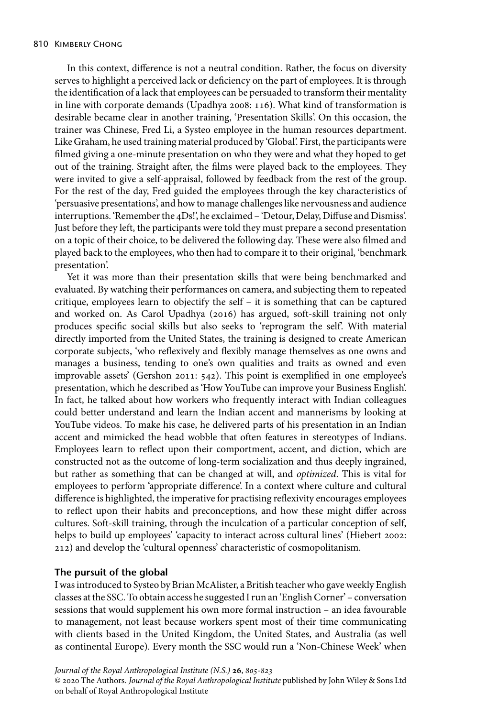In this context, difference is not a neutral condition. Rather, the focus on diversity serves to highlight a perceived lack or deficiency on the part of employees. It is through the identification of a lack that employees can be persuaded to transform their mentality in line with corporate demands (Upadhya 2008: 116). What kind of transformation is desirable became clear in another training, 'Presentation Skills'. On this occasion, the trainer was Chinese, Fred Li, a Systeo employee in the human resources department. Like Graham, he used training material produced by 'Global'. First, the participants were filmed giving a one-minute presentation on who they were and what they hoped to get out of the training. Straight after, the films were played back to the employees. They were invited to give a self-appraisal, followed by feedback from the rest of the group. For the rest of the day, Fred guided the employees through the key characteristics of 'persuasive presentations', and how to manage challenges like nervousness and audience interruptions. 'Remember the 4Ds!', he exclaimed – 'Detour, Delay, Diffuse and Dismiss'. Just before they left, the participants were told they must prepare a second presentation on a topic of their choice, to be delivered the following day. These were also filmed and played back to the employees, who then had to compare it to their original, 'benchmark presentation'.

Yet it was more than their presentation skills that were being benchmarked and evaluated. By watching their performances on camera, and subjecting them to repeated critique, employees learn to objectify the self – it is something that can be captured and worked on. As Carol Upadhya (2016) has argued, soft-skill training not only produces specific social skills but also seeks to 'reprogram the self'. With material directly imported from the United States, the training is designed to create American corporate subjects, 'who reflexively and flexibly manage themselves as one owns and manages a business, tending to one's own qualities and traits as owned and even improvable assets' (Gershon 2011: 542). This point is exemplified in one employee's presentation, which he described as 'How YouTube can improve your Business English'. In fact, he talked about how workers who frequently interact with Indian colleagues could better understand and learn the Indian accent and mannerisms by looking at YouTube videos. To make his case, he delivered parts of his presentation in an Indian accent and mimicked the head wobble that often features in stereotypes of Indians. Employees learn to reflect upon their comportment, accent, and diction, which are constructed not as the outcome of long-term socialization and thus deeply ingrained, but rather as something that can be changed at will, and *optimized*. This is vital for employees to perform 'appropriate difference'. In a context where culture and cultural difference is highlighted, the imperative for practising reflexivity encourages employees to reflect upon their habits and preconceptions, and how these might differ across cultures. Soft-skill training, through the inculcation of a particular conception of self, helps to build up employees' 'capacity to interact across cultural lines' (Hiebert 2002: 212) and develop the 'cultural openness' characteristic of cosmopolitanism.

# **The pursuit of the global**

I was introduced to Systeo by Brian McAlister, a British teacher who gave weekly English classes at the SSC. To obtain access he suggested I run an 'English Corner' – conversation sessions that would supplement his own more formal instruction – an idea favourable to management, not least because workers spent most of their time communicating with clients based in the United Kingdom, the United States, and Australia (as well as continental Europe). Every month the SSC would run a 'Non-Chinese Week' when

*Journal of the Royal Anthropological Institute (N.S.)* **26**,  $805-823$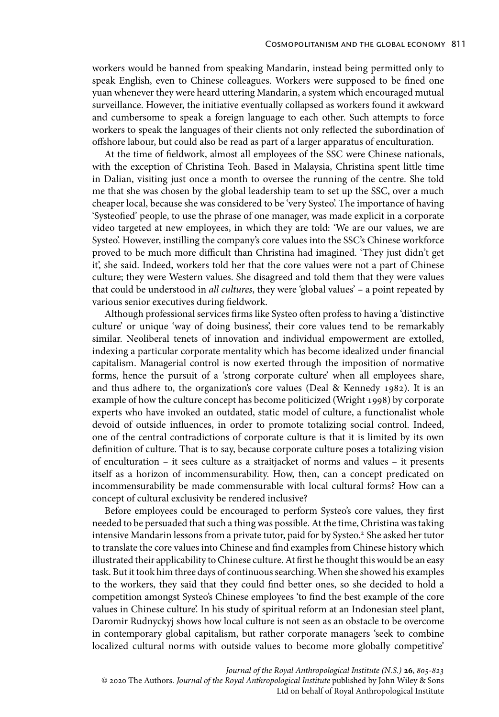workers would be banned from speaking Mandarin, instead being permitted only to speak English, even to Chinese colleagues. Workers were supposed to be fined one yuan whenever they were heard uttering Mandarin, a system which encouraged mutual surveillance. However, the initiative eventually collapsed as workers found it awkward and cumbersome to speak a foreign language to each other. Such attempts to force workers to speak the languages of their clients not only reflected the subordination of offshore labour, but could also be read as part of a larger apparatus of enculturation.

At the time of fieldwork, almost all employees of the SSC were Chinese nationals, with the exception of Christina Teoh. Based in Malaysia, Christina spent little time in Dalian, visiting just once a month to oversee the running of the centre. She told me that she was chosen by the global leadership team to set up the SSC, over a much cheaper local, because she was considered to be 'very Systeo'. The importance of having 'Systeofied' people, to use the phrase of one manager, was made explicit in a corporate video targeted at new employees, in which they are told: 'We are our values, we are Systeo'. However, instilling the company's core values into the SSC's Chinese workforce proved to be much more difficult than Christina had imagined. 'They just didn't get it', she said. Indeed, workers told her that the core values were not a part of Chinese culture; they were Western values. She disagreed and told them that they were values that could be understood in *all cultures*, they were 'global values' – a point repeated by various senior executives during fieldwork.

Although professional services firms like Systeo often profess to having a 'distinctive culture' or unique 'way of doing business', their core values tend to be remarkably similar. Neoliberal tenets of innovation and individual empowerment are extolled, indexing a particular corporate mentality which has become idealized under financial capitalism. Managerial control is now exerted through the imposition of normative forms, hence the pursuit of a 'strong corporate culture' when all employees share, and thus adhere to, the organization's core values (Deal & Kennedy 1982). It is an example of how the culture concept has become politicized (Wright 1998) by corporate experts who have invoked an outdated, static model of culture, a functionalist whole devoid of outside influences, in order to promote totalizing social control. Indeed, one of the central contradictions of corporate culture is that it is limited by its own definition of culture. That is to say, because corporate culture poses a totalizing vision of enculturation – it sees culture as a straitjacket of norms and values – it presents itself as a horizon of incommensurability. How, then, can a concept predicated on incommensurability be made commensurable with local cultural forms? How can a concept of cultural exclusivity be rendered inclusive?

Before employees could be encouraged to perform Systeo's core values, they first needed to be persuaded that such a thing was possible. At the time, Christina was taking intensive Mandarin lessons from a private tutor, paid for by Systeo.<sup>2</sup> She asked her tutor to translate the core values into Chinese and find examples from Chinese history which illustrated their applicability to Chinese culture. At first he thought this would be an easy task. But it took him three days of continuous searching. When she showed his examples to the workers, they said that they could find better ones, so she decided to hold a competition amongst Systeo's Chinese employees 'to find the best example of the core values in Chinese culture'. In his study of spiritual reform at an Indonesian steel plant, Daromir Rudnyckyj shows how local culture is not seen as an obstacle to be overcome in contemporary global capitalism, but rather corporate managers 'seek to combine localized cultural norms with outside values to become more globally competitive'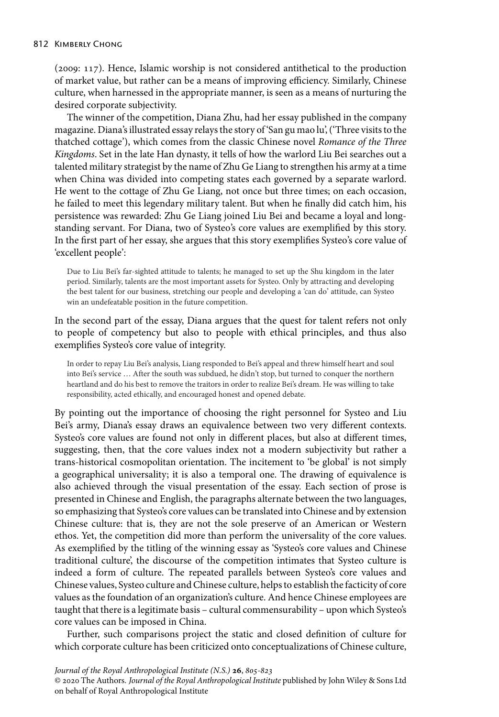(2009: 117). Hence, Islamic worship is not considered antithetical to the production of market value, but rather can be a means of improving efficiency. Similarly, Chinese culture, when harnessed in the appropriate manner, is seen as a means of nurturing the desired corporate subjectivity.

The winner of the competition, Diana Zhu, had her essay published in the company magazine. Diana's illustrated essay relays the story of 'San gu mao lu', ('Three visits to the thatched cottage'), which comes from the classic Chinese novel *Romance of the Three Kingdoms*. Set in the late Han dynasty, it tells of how the warlord Liu Bei searches out a talented military strategist by the name of Zhu Ge Liang to strengthen his army at a time when China was divided into competing states each governed by a separate warlord. He went to the cottage of Zhu Ge Liang, not once but three times; on each occasion, he failed to meet this legendary military talent. But when he finally did catch him, his persistence was rewarded: Zhu Ge Liang joined Liu Bei and became a loyal and longstanding servant. For Diana, two of Systeo's core values are exemplified by this story. In the first part of her essay, she argues that this story exemplifies Systeo's core value of 'excellent people':

Due to Liu Bei's far-sighted attitude to talents; he managed to set up the Shu kingdom in the later period. Similarly, talents are the most important assets for Systeo. Only by attracting and developing the best talent for our business, stretching our people and developing a 'can do' attitude, can Systeo win an undefeatable position in the future competition.

In the second part of the essay, Diana argues that the quest for talent refers not only to people of competency but also to people with ethical principles, and thus also exemplifies Systeo's core value of integrity.

In order to repay Liu Bei's analysis, Liang responded to Bei's appeal and threw himself heart and soul into Bei's service … After the south was subdued, he didn't stop, but turned to conquer the northern heartland and do his best to remove the traitors in order to realize Bei's dream. He was willing to take responsibility, acted ethically, and encouraged honest and opened debate.

By pointing out the importance of choosing the right personnel for Systeo and Liu Bei's army, Diana's essay draws an equivalence between two very different contexts. Systeo's core values are found not only in different places, but also at different times, suggesting, then, that the core values index not a modern subjectivity but rather a trans-historical cosmopolitan orientation. The incitement to 'be global' is not simply a geographical universality; it is also a temporal one. The drawing of equivalence is also achieved through the visual presentation of the essay. Each section of prose is presented in Chinese and English, the paragraphs alternate between the two languages, so emphasizing that Systeo's core values can be translated into Chinese and by extension Chinese culture: that is, they are not the sole preserve of an American or Western ethos. Yet, the competition did more than perform the universality of the core values. As exemplified by the titling of the winning essay as 'Systeo's core values and Chinese traditional culture', the discourse of the competition intimates that Systeo culture is indeed a form of culture. The repeated parallels between Systeo's core values and Chinese values, Systeo culture and Chinese culture, helps to establish the facticity of core values as the foundation of an organization's culture. And hence Chinese employees are taught that there is a legitimate basis – cultural commensurability – upon which Systeo's core values can be imposed in China.

Further, such comparisons project the static and closed definition of culture for which corporate culture has been criticized onto conceptualizations of Chinese culture,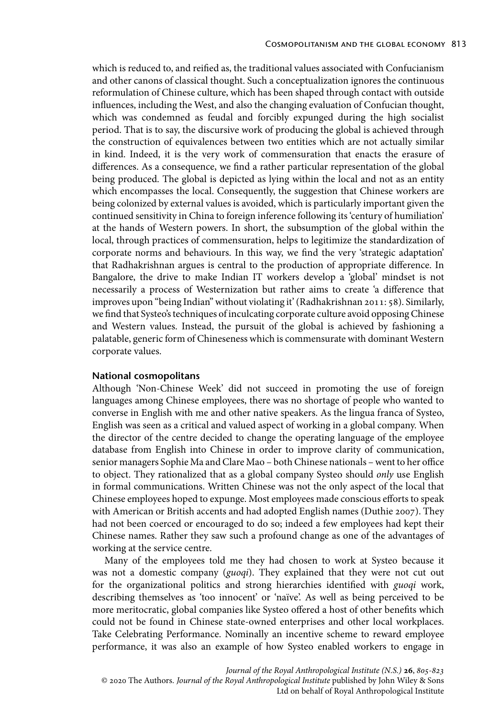which is reduced to, and reified as, the traditional values associated with Confucianism and other canons of classical thought. Such a conceptualization ignores the continuous reformulation of Chinese culture, which has been shaped through contact with outside influences, including the West, and also the changing evaluation of Confucian thought, which was condemned as feudal and forcibly expunged during the high socialist period. That is to say, the discursive work of producing the global is achieved through the construction of equivalences between two entities which are not actually similar in kind. Indeed, it is the very work of commensuration that enacts the erasure of differences. As a consequence, we find a rather particular representation of the global being produced. The global is depicted as lying within the local and not as an entity which encompasses the local. Consequently, the suggestion that Chinese workers are being colonized by external values is avoided, which is particularly important given the continued sensitivity in China to foreign inference following its 'century of humiliation' at the hands of Western powers. In short, the subsumption of the global within the local, through practices of commensuration, helps to legitimize the standardization of corporate norms and behaviours. In this way, we find the very 'strategic adaptation' that Radhakrishnan argues is central to the production of appropriate difference. In Bangalore, the drive to make Indian IT workers develop a 'global' mindset is not necessarily a process of Westernization but rather aims to create 'a difference that improves upon "being Indian" without violating it' (Radhakrishnan 2011: 58). Similarly, we find that Systeo's techniques of inculcating corporate culture avoid opposing Chinese and Western values. Instead, the pursuit of the global is achieved by fashioning a palatable, generic form of Chineseness which is commensurate with dominant Western corporate values.

# **National cosmopolitans**

Although 'Non-Chinese Week' did not succeed in promoting the use of foreign languages among Chinese employees, there was no shortage of people who wanted to converse in English with me and other native speakers. As the lingua franca of Systeo, English was seen as a critical and valued aspect of working in a global company. When the director of the centre decided to change the operating language of the employee database from English into Chinese in order to improve clarity of communication, senior managers Sophie Ma and Clare Mao – both Chinese nationals – went to her office to object. They rationalized that as a global company Systeo should *only* use English in formal communications. Written Chinese was not the only aspect of the local that Chinese employees hoped to expunge. Most employees made conscious efforts to speak with American or British accents and had adopted English names (Duthie 2007). They had not been coerced or encouraged to do so; indeed a few employees had kept their Chinese names. Rather they saw such a profound change as one of the advantages of working at the service centre.

Many of the employees told me they had chosen to work at Systeo because it was not a domestic company (*guoqi*). They explained that they were not cut out for the organizational politics and strong hierarchies identified with *guoqi* work, describing themselves as 'too innocent' or 'naïve'. As well as being perceived to be more meritocratic, global companies like Systeo offered a host of other benefits which could not be found in Chinese state-owned enterprises and other local workplaces. Take Celebrating Performance. Nominally an incentive scheme to reward employee performance, it was also an example of how Systeo enabled workers to engage in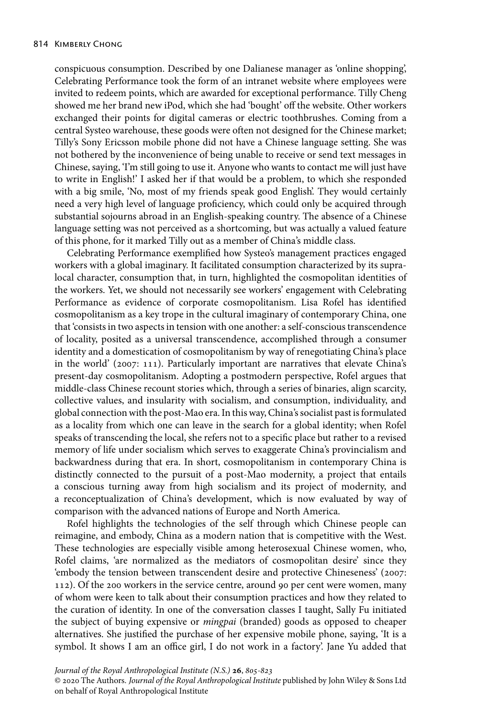conspicuous consumption. Described by one Dalianese manager as 'online shopping', Celebrating Performance took the form of an intranet website where employees were invited to redeem points, which are awarded for exceptional performance. Tilly Cheng showed me her brand new iPod, which she had 'bought' off the website. Other workers exchanged their points for digital cameras or electric toothbrushes. Coming from a central Systeo warehouse, these goods were often not designed for the Chinese market; Tilly's Sony Ericsson mobile phone did not have a Chinese language setting. She was not bothered by the inconvenience of being unable to receive or send text messages in Chinese, saying, 'I'm still going to use it. Anyone who wants to contact me will just have to write in English!' I asked her if that would be a problem, to which she responded with a big smile, 'No, most of my friends speak good English'. They would certainly need a very high level of language proficiency, which could only be acquired through substantial sojourns abroad in an English-speaking country. The absence of a Chinese language setting was not perceived as a shortcoming, but was actually a valued feature of this phone, for it marked Tilly out as a member of China's middle class.

Celebrating Performance exemplified how Systeo's management practices engaged workers with a global imaginary. It facilitated consumption characterized by its supralocal character, consumption that, in turn, highlighted the cosmopolitan identities of the workers. Yet, we should not necessarily see workers' engagement with Celebrating Performance as evidence of corporate cosmopolitanism. Lisa Rofel has identified cosmopolitanism as a key trope in the cultural imaginary of contemporary China, one that 'consists in two aspects in tension with one another: a self-conscious transcendence of locality, posited as a universal transcendence, accomplished through a consumer identity and a domestication of cosmopolitanism by way of renegotiating China's place in the world' (2007: 111). Particularly important are narratives that elevate China's present-day cosmopolitanism. Adopting a postmodern perspective, Rofel argues that middle-class Chinese recount stories which, through a series of binaries, align scarcity, collective values, and insularity with socialism, and consumption, individuality, and global connection with the post-Mao era. In this way, China's socialist past is formulated as a locality from which one can leave in the search for a global identity; when Rofel speaks of transcending the local, she refers not to a specific place but rather to a revised memory of life under socialism which serves to exaggerate China's provincialism and backwardness during that era. In short, cosmopolitanism in contemporary China is distinctly connected to the pursuit of a post-Mao modernity, a project that entails a conscious turning away from high socialism and its project of modernity, and a reconceptualization of China's development, which is now evaluated by way of comparison with the advanced nations of Europe and North America.

Rofel highlights the technologies of the self through which Chinese people can reimagine, and embody, China as a modern nation that is competitive with the West. These technologies are especially visible among heterosexual Chinese women, who, Rofel claims, 'are normalized as the mediators of cosmopolitan desire' since they 'embody the tension between transcendent desire and protective Chineseness' (2007: 112). Of the 200 workers in the service centre, around 90 per cent were women, many of whom were keen to talk about their consumption practices and how they related to the curation of identity. In one of the conversation classes I taught, Sally Fu initiated the subject of buying expensive or *mingpai* (branded) goods as opposed to cheaper alternatives. She justified the purchase of her expensive mobile phone, saying, 'It is a symbol. It shows I am an office girl, I do not work in a factory'. Jane Yu added that

*Journal of the Royal Anthropological Institute (N.S.)* **26**,  $805-823$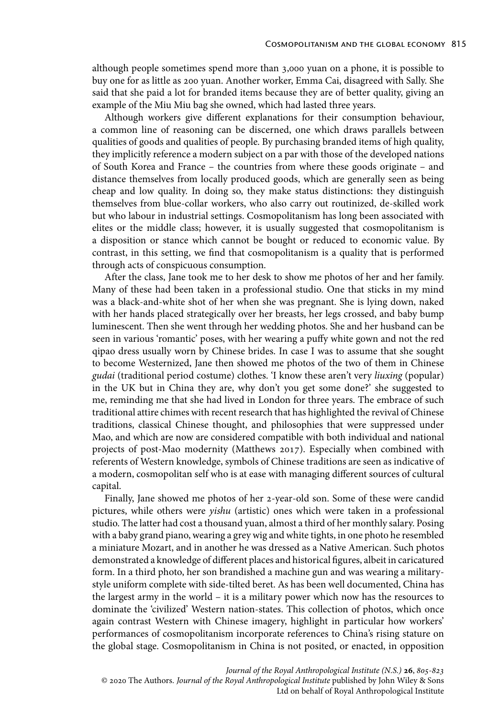although people sometimes spend more than 3,000 yuan on a phone, it is possible to buy one for as little as 200 yuan. Another worker, Emma Cai, disagreed with Sally. She said that she paid a lot for branded items because they are of better quality, giving an example of the Miu Miu bag she owned, which had lasted three years.

Although workers give different explanations for their consumption behaviour, a common line of reasoning can be discerned, one which draws parallels between qualities of goods and qualities of people. By purchasing branded items of high quality, they implicitly reference a modern subject on a par with those of the developed nations of South Korea and France – the countries from where these goods originate – and distance themselves from locally produced goods, which are generally seen as being cheap and low quality. In doing so, they make status distinctions: they distinguish themselves from blue-collar workers, who also carry out routinized, de-skilled work but who labour in industrial settings. Cosmopolitanism has long been associated with elites or the middle class; however, it is usually suggested that cosmopolitanism is a disposition or stance which cannot be bought or reduced to economic value. By contrast, in this setting, we find that cosmopolitanism is a quality that is performed through acts of conspicuous consumption.

After the class, Jane took me to her desk to show me photos of her and her family. Many of these had been taken in a professional studio. One that sticks in my mind was a black-and-white shot of her when she was pregnant. She is lying down, naked with her hands placed strategically over her breasts, her legs crossed, and baby bump luminescent. Then she went through her wedding photos. She and her husband can be seen in various 'romantic' poses, with her wearing a puffy white gown and not the red qipao dress usually worn by Chinese brides. In case I was to assume that she sought to become Westernized, Jane then showed me photos of the two of them in Chinese *gudai* (traditional period costume) clothes. 'I know these aren't very *liuxing* (popular) in the UK but in China they are, why don't you get some done?' she suggested to me, reminding me that she had lived in London for three years. The embrace of such traditional attire chimes with recent research that has highlighted the revival of Chinese traditions, classical Chinese thought, and philosophies that were suppressed under Mao, and which are now are considered compatible with both individual and national projects of post-Mao modernity (Matthews 2017). Especially when combined with referents of Western knowledge, symbols of Chinese traditions are seen as indicative of a modern, cosmopolitan self who is at ease with managing different sources of cultural capital.

Finally, Jane showed me photos of her 2-year-old son. Some of these were candid pictures, while others were *yishu* (artistic) ones which were taken in a professional studio. The latter had cost a thousand yuan, almost a third of her monthly salary. Posing with a baby grand piano, wearing a grey wig and white tights, in one photo he resembled a miniature Mozart, and in another he was dressed as a Native American. Such photos demonstrated a knowledge of different places and historical figures, albeit in caricatured form. In a third photo, her son brandished a machine gun and was wearing a militarystyle uniform complete with side-tilted beret. As has been well documented, China has the largest army in the world – it is a military power which now has the resources to dominate the 'civilized' Western nation-states. This collection of photos, which once again contrast Western with Chinese imagery, highlight in particular how workers' performances of cosmopolitanism incorporate references to China's rising stature on the global stage. Cosmopolitanism in China is not posited, or enacted, in opposition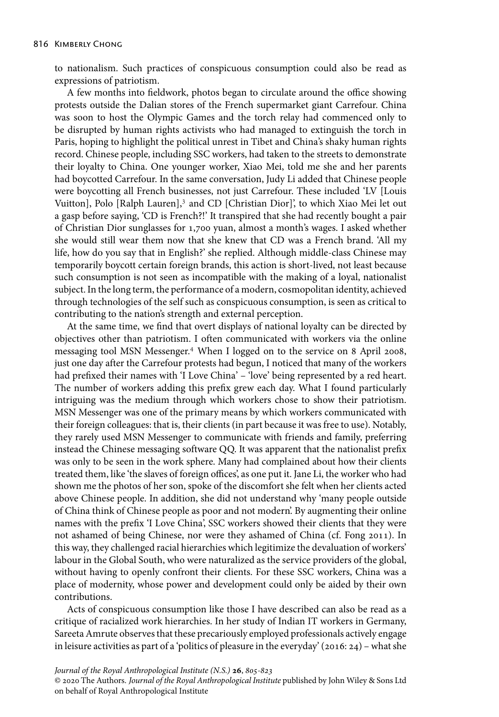to nationalism. Such practices of conspicuous consumption could also be read as expressions of patriotism.

A few months into fieldwork, photos began to circulate around the office showing protests outside the Dalian stores of the French supermarket giant Carrefour. China was soon to host the Olympic Games and the torch relay had commenced only to be disrupted by human rights activists who had managed to extinguish the torch in Paris, hoping to highlight the political unrest in Tibet and China's shaky human rights record. Chinese people, including SSC workers, had taken to the streets to demonstrate their loyalty to China. One younger worker, Xiao Mei, told me she and her parents had boycotted Carrefour. In the same conversation, Judy Li added that Chinese people were boycotting all French businesses, not just Carrefour. These included 'LV [Louis Vuitton], Polo [Ralph Lauren],<sup>3</sup> and CD [Christian Dior]', to which Xiao Mei let out a gasp before saying, 'CD is French?!' It transpired that she had recently bought a pair of Christian Dior sunglasses for 1,700 yuan, almost a month's wages. I asked whether she would still wear them now that she knew that CD was a French brand. 'All my life, how do you say that in English?' she replied. Although middle-class Chinese may temporarily boycott certain foreign brands, this action is short-lived, not least because such consumption is not seen as incompatible with the making of a loyal, nationalist subject. In the long term, the performance of a modern, cosmopolitan identity, achieved through technologies of the self such as conspicuous consumption, is seen as critical to contributing to the nation's strength and external perception.

At the same time, we find that overt displays of national loyalty can be directed by objectives other than patriotism. I often communicated with workers via the online messaging tool MSN Messenger.<sup>4</sup> When I logged on to the service on 8 April 2008, just one day after the Carrefour protests had begun, I noticed that many of the workers had prefixed their names with 'I Love China' – 'love' being represented by a red heart. The number of workers adding this prefix grew each day. What I found particularly intriguing was the medium through which workers chose to show their patriotism. MSN Messenger was one of the primary means by which workers communicated with their foreign colleagues: that is, their clients (in part because it was free to use). Notably, they rarely used MSN Messenger to communicate with friends and family, preferring instead the Chinese messaging software QQ. It was apparent that the nationalist prefix was only to be seen in the work sphere. Many had complained about how their clients treated them, like 'the slaves of foreign offices', as one put it. Jane Li, the worker who had shown me the photos of her son, spoke of the discomfort she felt when her clients acted above Chinese people. In addition, she did not understand why 'many people outside of China think of Chinese people as poor and not modern'. By augmenting their online names with the prefix 'I Love China', SSC workers showed their clients that they were not ashamed of being Chinese, nor were they ashamed of China (cf. Fong 2011). In this way, they challenged racial hierarchies which legitimize the devaluation of workers' labour in the Global South, who were naturalized as the service providers of the global, without having to openly confront their clients. For these SSC workers, China was a place of modernity, whose power and development could only be aided by their own contributions.

Acts of conspicuous consumption like those I have described can also be read as a critique of racialized work hierarchies. In her study of Indian IT workers in Germany, Sareeta Amrute observes that these precariously employed professionals actively engage in leisure activities as part of a 'politics of pleasure in the everyday' (2016: 24) – what she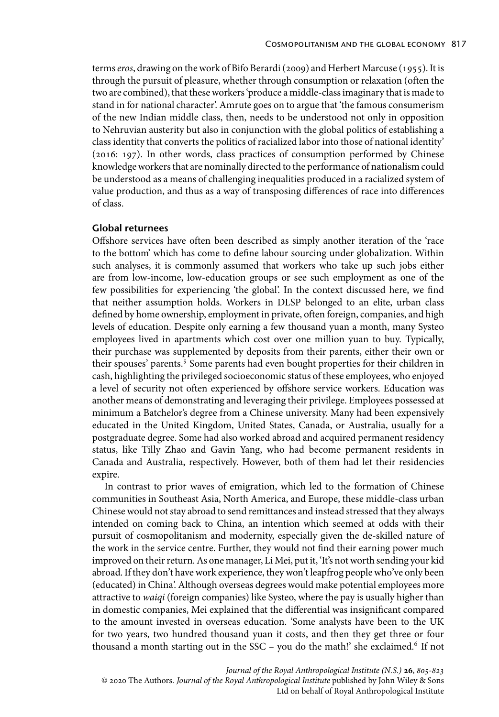terms *eros*, drawing on the work of Bifo Berardi (2009) and Herbert Marcuse (1955). It is through the pursuit of pleasure, whether through consumption or relaxation (often the two are combined), that these workers 'produce a middle-class imaginary that is made to stand in for national character'. Amrute goes on to argue that 'the famous consumerism of the new Indian middle class, then, needs to be understood not only in opposition to Nehruvian austerity but also in conjunction with the global politics of establishing a class identity that converts the politics of racialized labor into those of national identity' (2016: 197). In other words, class practices of consumption performed by Chinese knowledge workers that are nominally directed to the performance of nationalism could be understood as a means of challenging inequalities produced in a racialized system of value production, and thus as a way of transposing differences of race into differences of class.

# **Global returnees**

Offshore services have often been described as simply another iteration of the 'race to the bottom' which has come to define labour sourcing under globalization. Within such analyses, it is commonly assumed that workers who take up such jobs either are from low-income, low-education groups or see such employment as one of the few possibilities for experiencing 'the global'. In the context discussed here, we find that neither assumption holds. Workers in DLSP belonged to an elite, urban class defined by home ownership, employment in private, often foreign, companies, and high levels of education. Despite only earning a few thousand yuan a month, many Systeo employees lived in apartments which cost over one million yuan to buy. Typically, their purchase was supplemented by deposits from their parents, either their own or their spouses' parents.<sup>5</sup> Some parents had even bought properties for their children in cash, highlighting the privileged socioeconomic status of these employees, who enjoyed a level of security not often experienced by offshore service workers. Education was another means of demonstrating and leveraging their privilege. Employees possessed at minimum a Batchelor's degree from a Chinese university. Many had been expensively educated in the United Kingdom, United States, Canada, or Australia, usually for a postgraduate degree. Some had also worked abroad and acquired permanent residency status, like Tilly Zhao and Gavin Yang, who had become permanent residents in Canada and Australia, respectively. However, both of them had let their residencies expire.

In contrast to prior waves of emigration, which led to the formation of Chinese communities in Southeast Asia, North America, and Europe, these middle-class urban Chinese would not stay abroad to send remittances and instead stressed that they always intended on coming back to China, an intention which seemed at odds with their pursuit of cosmopolitanism and modernity, especially given the de-skilled nature of the work in the service centre. Further, they would not find their earning power much improved on their return. As one manager, Li Mei, put it, 'It's not worth sending your kid abroad. If they don't have work experience, they won't leapfrog people who've only been (educated) in China'. Although overseas degrees would make potential employees more attractive to *waiqi* (foreign companies) like Systeo, where the pay is usually higher than in domestic companies, Mei explained that the differential was insignificant compared to the amount invested in overseas education. 'Some analysts have been to the UK for two years, two hundred thousand yuan it costs, and then they get three or four thousand a month starting out in the SSC – you do the math!' she exclaimed.<sup>6</sup> If not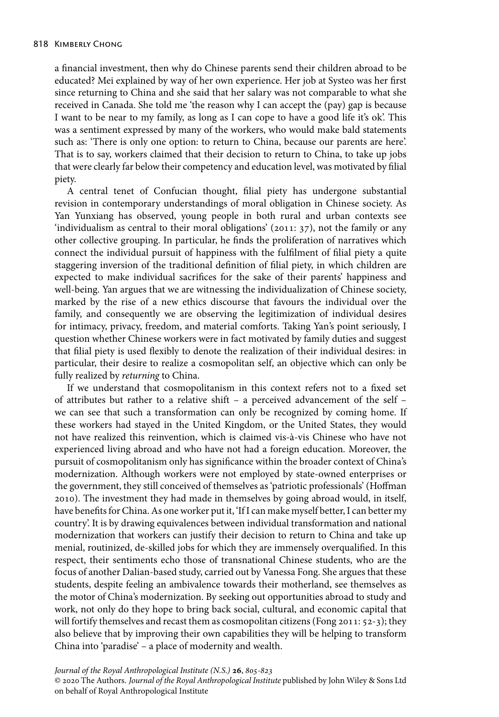a financial investment, then why do Chinese parents send their children abroad to be educated? Mei explained by way of her own experience. Her job at Systeo was her first since returning to China and she said that her salary was not comparable to what she received in Canada. She told me 'the reason why I can accept the (pay) gap is because I want to be near to my family, as long as I can cope to have a good life it's ok'. This was a sentiment expressed by many of the workers, who would make bald statements such as: 'There is only one option: to return to China, because our parents are here'. That is to say, workers claimed that their decision to return to China, to take up jobs that were clearly far below their competency and education level, was motivated by filial piety.

A central tenet of Confucian thought, filial piety has undergone substantial revision in contemporary understandings of moral obligation in Chinese society. As Yan Yunxiang has observed, young people in both rural and urban contexts see 'individualism as central to their moral obligations' (2011: 37), not the family or any other collective grouping. In particular, he finds the proliferation of narratives which connect the individual pursuit of happiness with the fulfilment of filial piety a quite staggering inversion of the traditional definition of filial piety, in which children are expected to make individual sacrifices for the sake of their parents' happiness and well-being. Yan argues that we are witnessing the individualization of Chinese society, marked by the rise of a new ethics discourse that favours the individual over the family, and consequently we are observing the legitimization of individual desires for intimacy, privacy, freedom, and material comforts. Taking Yan's point seriously, I question whether Chinese workers were in fact motivated by family duties and suggest that filial piety is used flexibly to denote the realization of their individual desires: in particular, their desire to realize a cosmopolitan self, an objective which can only be fully realized by *returning* to China.

If we understand that cosmopolitanism in this context refers not to a fixed set of attributes but rather to a relative shift – a perceived advancement of the self – we can see that such a transformation can only be recognized by coming home. If these workers had stayed in the United Kingdom, or the United States, they would not have realized this reinvention, which is claimed vis-à-vis Chinese who have not experienced living abroad and who have not had a foreign education. Moreover, the pursuit of cosmopolitanism only has significance within the broader context of China's modernization. Although workers were not employed by state-owned enterprises or the government, they still conceived of themselves as 'patriotic professionals' (Hoffman 2010). The investment they had made in themselves by going abroad would, in itself, have benefits for China. As one worker put it, 'If I can make myself better, I can better my country'. It is by drawing equivalences between individual transformation and national modernization that workers can justify their decision to return to China and take up menial, routinized, de-skilled jobs for which they are immensely overqualified. In this respect, their sentiments echo those of transnational Chinese students, who are the focus of another Dalian-based study, carried out by Vanessa Fong. She argues that these students, despite feeling an ambivalence towards their motherland, see themselves as the motor of China's modernization. By seeking out opportunities abroad to study and work, not only do they hope to bring back social, cultural, and economic capital that will fortify themselves and recast them as cosmopolitan citizens (Fong 2011: 52-3); they also believe that by improving their own capabilities they will be helping to transform China into 'paradise' – a place of modernity and wealth.

*Journal of the Royal Anthropological Institute (N.S.)* **26**,  $805-823$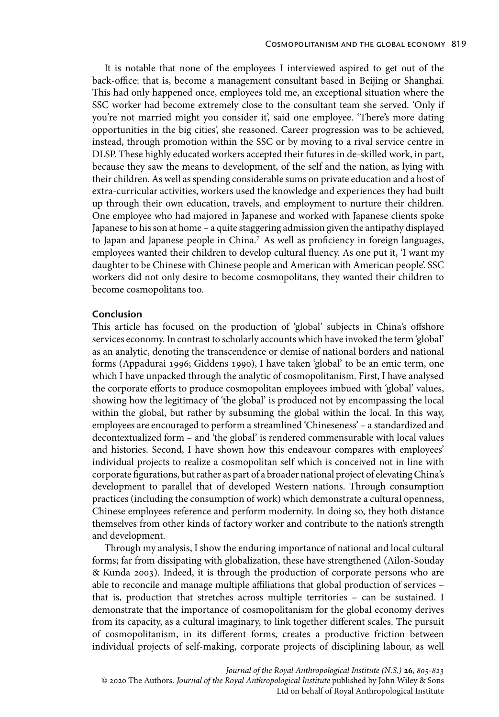It is notable that none of the employees I interviewed aspired to get out of the back-office: that is, become a management consultant based in Beijing or Shanghai. This had only happened once, employees told me, an exceptional situation where the SSC worker had become extremely close to the consultant team she served. 'Only if you're not married might you consider it', said one employee. 'There's more dating opportunities in the big cities', she reasoned. Career progression was to be achieved, instead, through promotion within the SSC or by moving to a rival service centre in DLSP. These highly educated workers accepted their futures in de-skilled work, in part, because they saw the means to development, of the self and the nation, as lying with their children. As well as spending considerable sums on private education and a host of extra-curricular activities, workers used the knowledge and experiences they had built up through their own education, travels, and employment to nurture their children. One employee who had majored in Japanese and worked with Japanese clients spoke Japanese to his son at home – a quite staggering admission given the antipathy displayed to Japan and Japanese people in China.7 As well as proficiency in foreign languages, employees wanted their children to develop cultural fluency. As one put it, 'I want my daughter to be Chinese with Chinese people and American with American people'. SSC workers did not only desire to become cosmopolitans, they wanted their children to become cosmopolitans too.

# **Conclusion**

This article has focused on the production of 'global' subjects in China's offshore services economy. In contrast to scholarly accounts which have invoked the term 'global' as an analytic, denoting the transcendence or demise of national borders and national forms (Appadurai 1996; Giddens 1990), I have taken 'global' to be an emic term, one which I have unpacked through the analytic of cosmopolitanism. First, I have analysed the corporate efforts to produce cosmopolitan employees imbued with 'global' values, showing how the legitimacy of 'the global' is produced not by encompassing the local within the global, but rather by subsuming the global within the local. In this way, employees are encouraged to perform a streamlined 'Chineseness' – a standardized and decontextualized form – and 'the global' is rendered commensurable with local values and histories. Second, I have shown how this endeavour compares with employees' individual projects to realize a cosmopolitan self which is conceived not in line with corporate figurations, but rather as part of a broader national project of elevating China's development to parallel that of developed Western nations. Through consumption practices (including the consumption of work) which demonstrate a cultural openness, Chinese employees reference and perform modernity. In doing so, they both distance themselves from other kinds of factory worker and contribute to the nation's strength and development.

Through my analysis, I show the enduring importance of national and local cultural forms; far from dissipating with globalization, these have strengthened (Ailon-Souday & Kunda 2003). Indeed, it is through the production of corporate persons who are able to reconcile and manage multiple affiliations that global production of services – that is, production that stretches across multiple territories – can be sustained. I demonstrate that the importance of cosmopolitanism for the global economy derives from its capacity, as a cultural imaginary, to link together different scales. The pursuit of cosmopolitanism, in its different forms, creates a productive friction between individual projects of self-making, corporate projects of disciplining labour, as well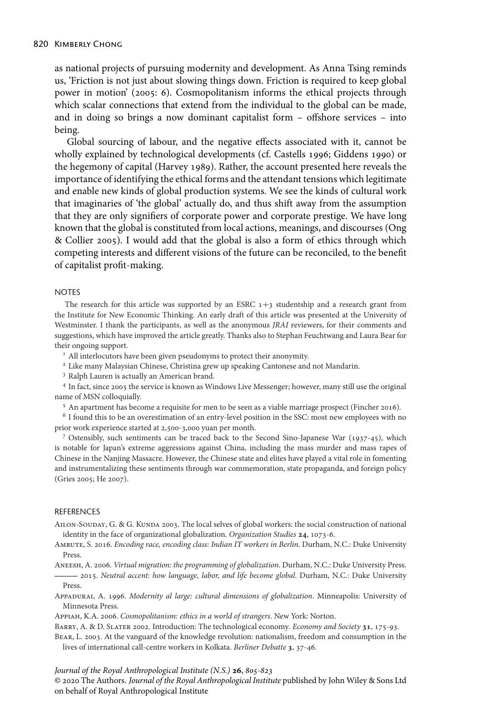as national projects of pursuing modernity and development. As Anna Tsing reminds us, 'Friction is not just about slowing things down. Friction is required to keep global power in motion' (2005: 6). Cosmopolitanism informs the ethical projects through which scalar connections that extend from the individual to the global can be made, and in doing so brings a now dominant capitalist form – offshore services – into being.

Global sourcing of labour, and the negative effects associated with it, cannot be wholly explained by technological developments (cf. Castells 1996; Giddens 1990) or the hegemony of capital (Harvey 1989). Rather, the account presented here reveals the importance of identifying the ethical forms and the attendant tensions which legitimate and enable new kinds of global production systems. We see the kinds of cultural work that imaginaries of 'the global' actually do, and thus shift away from the assumption that they are only signifiers of corporate power and corporate prestige. We have long known that the global is constituted from local actions, meanings, and discourses (Ong & Collier 2005). I would add that the global is also a form of ethics through which competing interests and different visions of the future can be reconciled, to the benefit of capitalist profit-making.

# **NOTES**

The research for this article was supported by an ESRC  $1+3$  studentship and a research grant from the Institute for New Economic Thinking. An early draft of this article was presented at the University of Westminster. I thank the participants, as well as the anonymous *JRAI* reviewers, for their comments and suggestions, which have improved the article greatly. Thanks also to Stephan Feuchtwang and Laura Bear for their ongoing support.

<sup>1</sup> All interlocutors have been given pseudonyms to protect their anonymity.

<sup>2</sup> Like many Malaysian Chinese, Christina grew up speaking Cantonese and not Mandarin.

<sup>3</sup> Ralph Lauren is actually an American brand.

<sup>4</sup> In fact, since 2005 the service is known as Windows Live Messenger; however, many still use the original name of MSN colloquially.

<sup>5</sup> An apartment has become a requisite for men to be seen as a viable marriage prospect (Fincher 2016).

<sup>6</sup> I found this to be an overestimation of an entry-level position in the SSC: most new employees with no prior work experience started at 2,500-3,000 yuan per month.

<sup>7</sup> Ostensibly, such sentiments can be traced back to the Second Sino-Japanese War (1937-45), which is notable for Japan's extreme aggressions against China, including the mass murder and mass rapes of Chinese in the Nanjing Massacre. However, the Chinese state and elites have played a vital role in fomenting and instrumentalizing these sentiments through war commemoration, state propaganda, and foreign policy (Gries 2005; He 2007).

#### REFERENCES

AILON-SOUDAY, G. & G. KUNDA 2003. The local selves of global workers: the social construction of national identity in the face of organizational globalization. *Organization Studies* 24, 1073-6.

Amrute, S. 2016. *Encoding race, encoding class: Indian IT workers in Berlin*. Durham, N.C.: Duke University Press.

Aneesh, A. 2006. *Virtual migration: the programming of globalization*. Durham, N.C.: Duke University Press. 2015. *Neutral accent: how language, labor, and life become global*. Durham, N.C.: Duke University Press.

- Appadurai, A. 1996. *Modernity al large: cultural dimensions of globalization*. Minneapolis: University of Minnesota Press.
- Appiah, K.A. 2006. *Cosmopolitanism: ethics in a world of strangers*. New York: Norton.

BARRY, A. & D. SLATER 2002. Introduction: The technological economy. *Economy and Society* 31, 175-93.

Bear, L. 2003. At the vanguard of the knowledge revolution: nationalism, freedom and consumption in the lives of international call-centre workers in Kolkata. *Berliner Debatte* 3, 37-46.

*Journal of the Royal Anthropological Institute (N.S.)* **26**,  $805-823$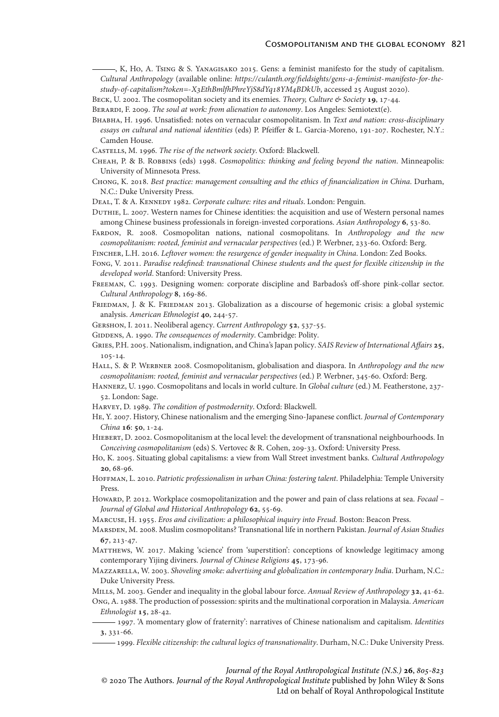, K, Ho, A. Tsing & S. Yanagisako 2015. Gens: a feminist manifesto for the study of capitalism. *Cultural Anthropology* (available online: *[https://culanth.org/fieldsights/gens-a-feminist-manifesto-for-the](https://culanth.org/fieldsights/gens-a-feminist-manifesto-for-the-study-of-capitalism?token=-X3EthBmlfhPhreYjS8dYq18YM4BDkUb)[study-of-capitalism?token=-XEthBmlfhPhreYjSdYqYMBDkUb](https://culanth.org/fieldsights/gens-a-feminist-manifesto-for-the-study-of-capitalism?token=-X3EthBmlfhPhreYjS8dYq18YM4BDkUb)*, accessed 25 August 2020).

BECK, U. 2002. The cosmopolitan society and its enemies. *Theory, Culture & Society* 19, 17-44.

Berardi, F. 2009. *The soul at work: from alienation to autonomy*. Los Angeles: Semiotext(e).

- Bhabha, H. 1996. Unsatisfied: notes on vernacular cosmopolitanism. In *Text and nation: cross-disciplinary essays on cultural and national identities* (eds) P. Pfeiffer & L. Garcia-Moreno, 191-207. Rochester, N.Y.: Camden House.
- Castells, M. 1996. *The rise of the network society*. Oxford: Blackwell.
- Cheah, P. & B. Robbins (eds) 1998. *Cosmopolitics: thinking and feeling beyond the nation*. Minneapolis: University of Minnesota Press.
- Chong, K. 2018. *Best practice: management consulting and the ethics of financialization in China*. Durham, N.C.: Duke University Press.
- Deal, T. & A. Kennedy 1982. *Corporate culture: rites and rituals*. London: Penguin.
- Duthie, L. 2007. Western names for Chinese identities: the acquisition and use of Western personal names among Chinese business professionals in foreign-invested corporations. Asian Anthropology 6, 53-80.
- Fardon, R. 2008. Cosmopolitan nations, national cosmopolitans. In *Anthropology and the new cosmopolitanism: rooted, feminist and vernacular perspectives* (ed.) P. Werbner, 233-60. Oxford: Berg.
- Fincher, L.H. 2016. *Leftover women: the resurgence of gender inequality in China*. London: Zed Books.
- Fong, V. 2011. *Paradise redefined: transnational Chinese students and the quest for flexible citizenship in the developed world*. Stanford: University Press.
- Freeman, C. 1993. Designing women: corporate discipline and Barbados's off-shore pink-collar sector. Cultural Anthropology 8, 169-86.
- FRIEDMAN, J. & K. FRIEDMAN 2013. Globalization as a discourse of hegemonic crisis: a global systemic analysis. American Ethnologist 40, 244-57.
- GERSHON, I. 2011. Neoliberal agency. *Current Anthropology* 52, 537-55.
- GIDDENS, A. 1990. *The consequences of modernity*. Cambridge: Polity.
- GRIES, P.H. 2005. Nationalism, indignation, and China's Japan policy. *SAIS Review of International Affairs* 25, 105-14.
- Hall, S. & P. Werbner 2008. Cosmopolitanism, globalisation and diaspora. In *Anthropology and the new cosmopolitanism: rooted, feminist and vernacular perspectives* (ed.) P. Werbner, 345-60. Oxford: Berg.
- Hannerz, U. 1990. Cosmopolitans and locals in world culture. In *Global culture* (ed.) M. Featherstone, 237- 52. London: Sage.
- Harvey, D. 1989. *The condition of postmodernity*. Oxford: Blackwell.
- He, Y. 2007. History, Chinese nationalism and the emerging Sino-Japanese conflict. *Journal of Contemporary China* **16**: **50**, 1-24.
- Hiebert, D. 2002. Cosmopolitanism at the local level: the development of transnational neighbourhoods. In *Conceiving cosmopolitanism* (eds) S. Vertovec & R. Cohen, 209-33. Oxford: University Press.
- Ho, K. 2005. Situating global capitalisms: a view from Wall Street investment banks. *Cultural Anthropology* 20, 68-96.
- Hoffman, L. 2010. *Patriotic professionalism in urban China: fostering talent*. Philadelphia: Temple University Press.
- Howard, P. 2012. Workplace cosmopolitanization and the power and pain of class relations at sea. *Focaal Journal of Global and Historical Anthropology* 62, 55-69.
- Marcuse, H. 1955. *Eros and civilization: a philosophical inquiry into Freud*. Boston: Beacon Press.
- Marsden, M. 2008. Muslim cosmopolitans? Transnational life in northern Pakistan. *Journal of Asian Studies* 67, 213-47.
- MATTHEWS, W. 2017. Making 'science' from 'superstition': conceptions of knowledge legitimacy among contemporary Yijing diviners. *Journal of Chinese Religions* 45, 173-96.
- Mazzarella, W. 2003. *Shoveling smoke: advertising and globalization in contemporary India*. Durham, N.C.: Duke University Press.
- MILLS, M. 2003. Gender and inequality in the global labour force. Annual Review of Anthropology 32, 41-62.

Ong, A. 1988. The production of possession: spirits and the multinational corporation in Malaysia. *American Ethnologist* **15**, 28-42.

1997. 'A momentary glow of fraternity': narratives of Chinese nationalism and capitalism. *Identities* , 331-66.

1999. *Flexible citizenship: the cultural logics of transnationality*. Durham, N.C.: Duke University Press.

*Journal of the Royal Anthropological Institute (N.S.)* **26**,  $805-823$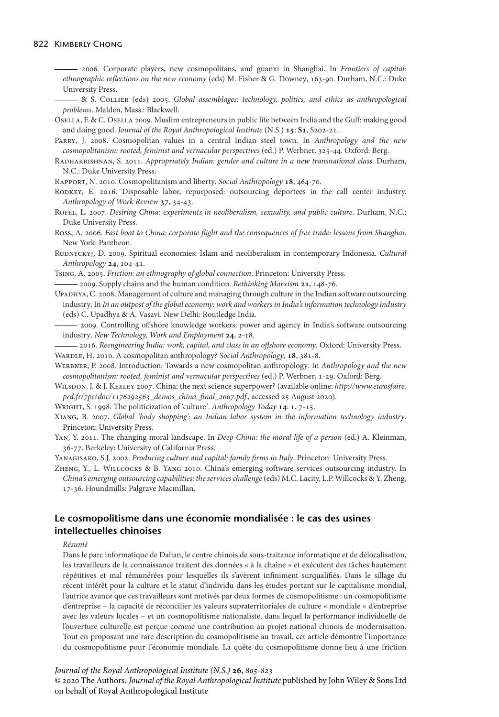#### 822 Kimberly Chong

2006. Corporate players, new cosmopolitans, and guanxi in Shanghai. In *Frontiers of capital: ethnographic reflections on the new economy* (eds) M. Fisher & G. Downey, 163-90. Durham, N.C.: Duke University Press.

& S. Collier (eds) 2005. *Global assemblages: technology, politics, and ethics as anthropological problems*. Malden, Mass.: Blackwell.

Osella, F. & C. Osella 2009. Muslim entrepreneurs in public life between India and the Gulf: making good and doing good. *Journal of the Royal Anthropological Institute* (N.S.) 15: S1, S202-21.

Parry, J. 2008. Cosmopolitan values in a central Indian steel town. In *Anthropology and the new cosmopolitanism: rooted, feminist and vernacular perspectives* (ed.) P. Werbner, 325-44. Oxford: Berg.

Radhakrishnan, S. 2011. *Appropriately Indian: gender and culture in a new transnational class*. Durham, N.C.: Duke University Press.

RAPPORT, N. 2010. Cosmopolitanism and liberty. *Social Anthropology* 18, 464-70.

RODKEY, E. 2016. Disposable labor, repurposed: outsourcing deportees in the call center industry. Anthropology of Work Review 37, 34-43.

Rofel, L. 2007. *Desiring China: experiments in neoliberalism, sexuality, and public culture*. Durham, N.C.: Duke University Press.

Ross, A. 2006. *Fast boat to China: corporate flight and the consequences of free trade: lessons from Shanghai*. New York: Pantheon.

Rudnyckyj, D. 2009. Spiritual economies: Islam and neoliberalism in contemporary Indonesia. *Cultural Anthropology* 24, 104-41.

Tsing, A. 2005. *Friction: an ethnography of global connection*. Princeton: University Press.

 $-$  2009. Supply chains and the human condition. *Rethinking Marxism* 21, 148-76.

Upadhya, C. 2008. Management of culture and managing through culture in the Indian software outsourcing industry. In *In an outpost of the global economy: work and workers in India's information technology industry* (eds) C. Upadhya & A. Vasavi. New Delhi: Routledge India.

- 2009. Controlling offshore knowledge workers: power and agency in India's software outsourcing industry. *New Technology, Work and Employment* 24, 2-18.

2016. *Reengineering India: work, capital, and class in an offshore economy*. Oxford: University Press. WARDLE, H. 2010. A cosmopolitan anthropology? *Social Anthropology*, 18, 381-8.

WERBNER, P. 2008. Introduction: Towards a new cosmopolitan anthropology. In *Anthropology and the new cosmopolitanism: rooted, feminist and vernacular perspectives* (ed.) P. Werbner, 1-29. Oxford: Berg.

Wilsdon, J. & J. Keeley 2007. China: the next science superpower? (available online: *[http://www.eurosfaire.](http://www.eurosfaire.prd.fr/7pc/doc/1176292563_demos_china_final_2007.pdf)* prd.fr/7pc/doc/1176292563\_demos\_china\_final\_2007.pdf, accessed 25 August 2020).

WRIGHT, S. 1998. The politicization of 'culture'. Anthropology Today 14: 1, 7-15.

Xiang, B. 2007. *Global 'body shopping': an Indian labor system in the information technology industry*. Princeton: University Press.

Yan, Y. 2011. The changing moral landscape. In *Deep China: the moral life of a person* (ed.) A. Kleinman, 36-77. Berkeley: University of California Press.

Yanagisako, S.J. 2002. *Producing culture and capital: family firms in Italy*. Princeton: University Press.

Zheng, Y., L. Willcocks & B. Yang 2010. China's emerging software services outsourcing industry. In *China's emerging outsourcing capabilities: the services challenge* (eds) M.C. Lacity, L.P. Willcocks & Y. Zheng, 17-36. Houndmills: Palgrave Macmillan.

# **Le cosmopolitisme dans une économie mondialisée : le cas des usines intellectuelles chinoises**

#### *Résumé*

Dans le parc informatique de Dalian, le centre chinois de sous-traitance informatique et de délocalisation, les travailleurs de la connaissance traitent des données « à la chaîne » et exécutent des tâches hautement répétitives et mal rémunérées pour lesquelles ils s'avèrent infiniment surqualifiés. Dans le sillage du récent intérêt pour la culture et le statut d'individu dans les études portant sur le capitalisme mondial, l'autrice avance que ces travailleurs sont motivés par deux formes de cosmopolitisme : un cosmopolitisme d'entreprise – la capacité de réconcilier les valeurs supraterritoriales de culture « mondiale » d'entreprise avec les valeurs locales – et un cosmopolitisme nationaliste, dans lequel la performance individuelle de l'ouverture culturelle est perçue comme une contribution au projet national chinois de modernisation. Tout en proposant une rare description du cosmopolitisme au travail, cet article démontre l'importance du cosmopolitisme pour l'économie mondiale. La quête du cosmopolitisme donne lieu à une friction

#### *Journal of the Royal Anthropological Institute (N.S.)* **26**,  $805-823$